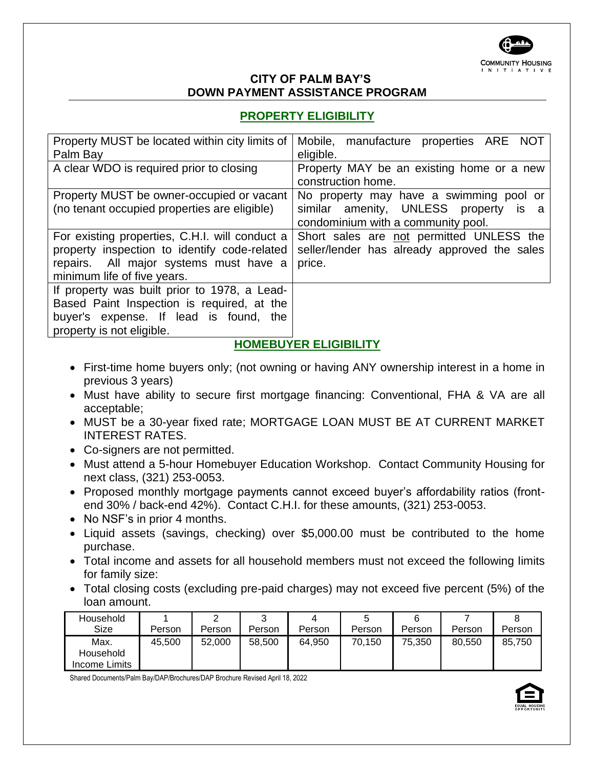

#### **CITY OF PALM BAY'S DOWN PAYMENT ASSISTANCE PROGRAM**

# **PROPERTY ELIGIBILITY**

| Property MUST be located within city limits of<br>Palm Bay                                                                                                              | Mobile, manufacture properties ARE NOT<br>eligible.                                                |
|-------------------------------------------------------------------------------------------------------------------------------------------------------------------------|----------------------------------------------------------------------------------------------------|
| A clear WDO is required prior to closing                                                                                                                                | Property MAY be an existing home or a new<br>construction home.                                    |
| Property MUST be owner-occupied or vacant                                                                                                                               | No property may have a swimming pool or                                                            |
| (no tenant occupied properties are eligible)                                                                                                                            | similar amenity, UNLESS property is a<br>condominium with a community pool.                        |
| For existing properties, C.H.I. will conduct a<br>property inspection to identify code-related<br>repairs. All major systems must have a<br>minimum life of five years. | Short sales are not permitted UNLESS the<br>seller/lender has already approved the sales<br>price. |
| If property was built prior to 1978, a Lead-<br>Based Paint Inspection is required, at the<br>buyer's expense. If lead is found, the<br>property is not eligible.       |                                                                                                    |

## **HOMEBUYER ELIGIBILITY**

- First-time home buyers only; (not owning or having ANY ownership interest in a home in previous 3 years)
- Must have ability to secure first mortgage financing: Conventional, FHA & VA are all acceptable;
- MUST be a 30-year fixed rate; MORTGAGE LOAN MUST BE AT CURRENT MARKET INTEREST RATES.
- Co-signers are not permitted.
- Must attend a 5-hour Homebuyer Education Workshop. Contact Community Housing for next class, (321) 253-0053.
- Proposed monthly mortgage payments cannot exceed buyer's affordability ratios (frontend 30% / back-end 42%). Contact C.H.I. for these amounts, (321) 253-0053.
- No NSF's in prior 4 months.
- Liquid assets (savings, checking) over \$5,000.00 must be contributed to the home purchase.
- Total income and assets for all household members must not exceed the following limits for family size:
- Total closing costs (excluding pre-paid charges) may not exceed five percent (5%) of the loan amount.

| Household         |        |        | ⌒      |        |        |        |        |        |
|-------------------|--------|--------|--------|--------|--------|--------|--------|--------|
| Size              | Person | Person | Person | Person | Person | Person | Person | Person |
| Max.<br>Household | 45.500 | 52,000 | 58,500 | 64,950 | 70.150 | 75,350 | 80.550 | 85,750 |
| Income Limits     |        |        |        |        |        |        |        |        |

Shared Documents/Palm Bay/DAP/Brochures/DAP Brochure Revised April 18, 2022

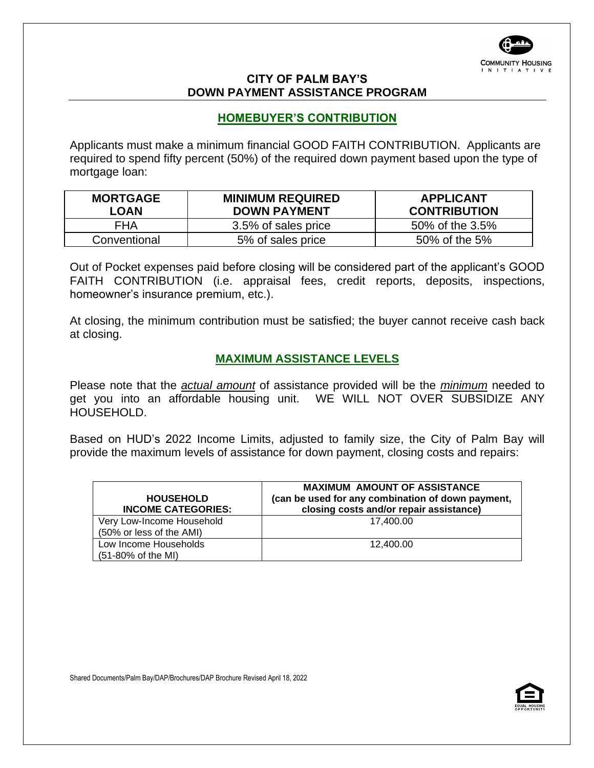

#### **CITY OF PALM BAY'S DOWN PAYMENT ASSISTANCE PROGRAM**

#### **HOMEBUYER'S CONTRIBUTION**

Applicants must make a minimum financial GOOD FAITH CONTRIBUTION. Applicants are required to spend fifty percent (50%) of the required down payment based upon the type of mortgage loan:

| <b>MORTGAGE</b><br>LOAN | <b>MINIMUM REQUIRED</b><br><b>DOWN PAYMENT</b> | <b>APPLICANT</b><br><b>CONTRIBUTION</b> |
|-------------------------|------------------------------------------------|-----------------------------------------|
| FHA                     | 3.5% of sales price                            | 50% of the 3.5%                         |
| Conventional            | 5% of sales price                              | 50% of the 5%                           |

Out of Pocket expenses paid before closing will be considered part of the applicant's GOOD FAITH CONTRIBUTION (i.e. appraisal fees, credit reports, deposits, inspections, homeowner's insurance premium, etc.).

At closing, the minimum contribution must be satisfied; the buyer cannot receive cash back at closing.

### **MAXIMUM ASSISTANCE LEVELS**

Please note that the *actual amount* of assistance provided will be the *minimum* needed to get you into an affordable housing unit. WE WILL NOT OVER SUBSIDIZE ANY HOUSEHOLD.

Based on HUD's 2022 Income Limits, adjusted to family size, the City of Palm Bay will provide the maximum levels of assistance for down payment, closing costs and repairs:

| <b>HOUSEHOLD</b><br><b>INCOME CATEGORIES:</b> | <b>MAXIMUM AMOUNT OF ASSISTANCE</b><br>(can be used for any combination of down payment,<br>closing costs and/or repair assistance) |
|-----------------------------------------------|-------------------------------------------------------------------------------------------------------------------------------------|
| Very Low-Income Household                     | 17.400.00                                                                                                                           |
| (50% or less of the AMI)                      |                                                                                                                                     |
| Low Income Households                         | 12.400.00                                                                                                                           |
| (51-80% of the MI)                            |                                                                                                                                     |